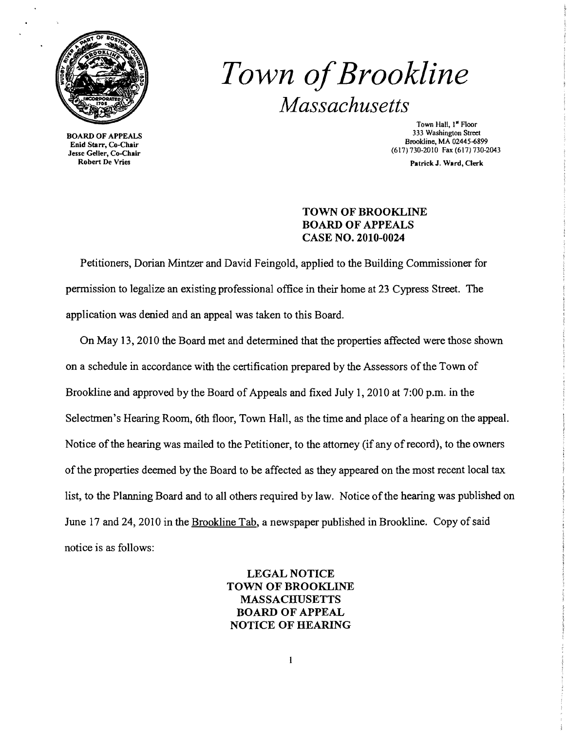

BOARD OF APPEALS Enid Starr, Co-Chair Jesse Geller, Co-Chair Robert De Vries

## *Town ofBrookline Massachusetts*

Town Hall, 1<sup>"</sup> Floor 333 Washington Street Brookline, MA 02445-6899 (617) 730-2010 Fax (617) 730-2043

Patrick J. Ward, Clerk

## TOWN OF BROOKLINE BOARD OF APPEALS CASE NO. 2010-0024

Petitioners, Dorian Mintzer and David Feingold, applied to the Building Commissioner for permission to legalize an existing professional office in their home at 23 Cypress Street. The application was denied and an appeal was taken to this Board.

On May 13, 2010 the Board met and determined that the properties affected were those shown on a schedule in accordance with the certification prepared by the Assessors of the Town of Brookline and approved by the Board of Appeals and fixed July 1, 2010 at 7:00 p.m. in the Selectmen's Hearing Room, 6th floor, Town Hall, as the time and place of a hearing on the appeal. Notice of the hearing was mailed to the Petitioner, to the attorney (if any of record), to the owners of the properties deemed by the Board to be affected as they appeared on the most recent local tax list, to the Planning Board and to all others required by law. Notice of the hearing was published on June 17 and 24, 2010 in the Brookline Tab, a newspaper published in Brookline. Copy of said notice is as follows:

> LEGAL NOTICE TOWN OF BROOKLINE MASSACHUSETTS BOARD OF APPEAL NOTICE OF HEARING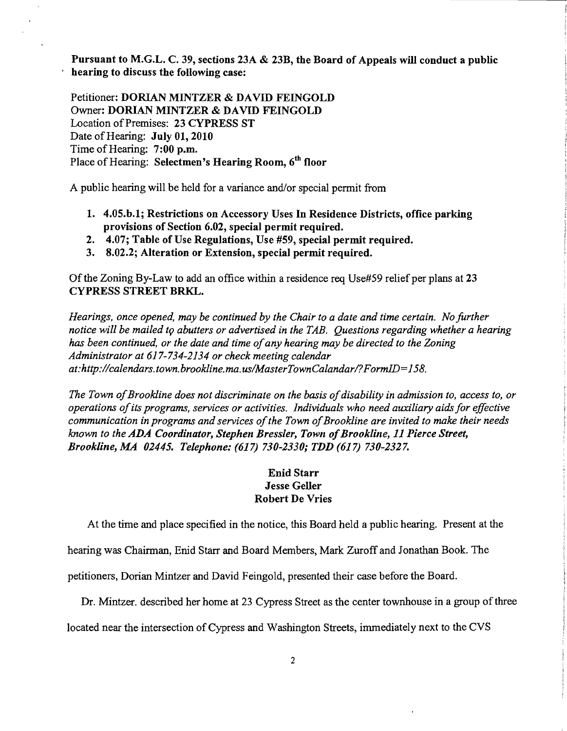Pursuant to M.G.L. C. 39, sections 23A & 23B, the Board of Appeals will conduct a public hearing to discuss the following case:

Petitioner: DORIAN MINTZER & DAVIn FEINGOLD Owner: DORIAN MINTZER & DAVID FEINGOLD Location of Premises: 23 CYPRESS ST Date of Hearing: July 01, 2010 Time of Hearing: 7:00 p.m. Place of Hearing: Selectmen's Hearing Room, 6<sup>th</sup> floor

A public hearing will be held for a variance and/or special permit from

- 1. 4.05.b.1; Restrictions on Accessory Uses In Residence Districts, office parking provisions of Section 6.02, special permit required.
- 2. 4.07; Table of Use Regulations, Use #59, special permit required.
- 3. 8.02.2; Alteration or Extension, special permit required.

Of the Zoning By-Law to add an office within a residence req Use#59 relief per plans at 23 CYPRESS STREET BRKL.

*Hearings, once opened, may be continued by the Chair to a date and time certain. No further*  notice will be mailed to abutters or advertised in the TAB. Questions regarding whether a hearing *has been continued, or the date and time ofany hearing may be directed to the Zoning Administrator at* 617-734-2134 *or check meeting calendar at:http://calendars.town.brookline.ma.us/MasterTownCalandar/?FormID=158.* 

The Town of Brookline does not discriminate on the basis of disability in admission to, access to, or *operations ofits programs, services or activities. Individuals who need auxiliary aids for effective communication in programs and services ofthe Town ofBrookline are invited to make their needs known to the ADA Coordinator, Stephen Bressler, Town of Brookline, 11 Pierce Street, Brookline, MA 02445. Telephone:* (617) *730-2330; TDD* (617) *730-2327.* 

## Enid Starr Jesse Geller Robert De Vries

At the time and place specified in the notice, this Board held a public hearing. Present at the

hearing was Chairman, Enid Starr and Board Members, Mark Zuroff and Jonathan Book. The

petitioners, Dorian Mintzer and David Feingold, presented their case before the Board.

Dr. Mintzer. described her home at 23 Cypress Street as the center townhouse in a group of three

located near the intersection of Cypress and Washington Streets, immediately next to the CVS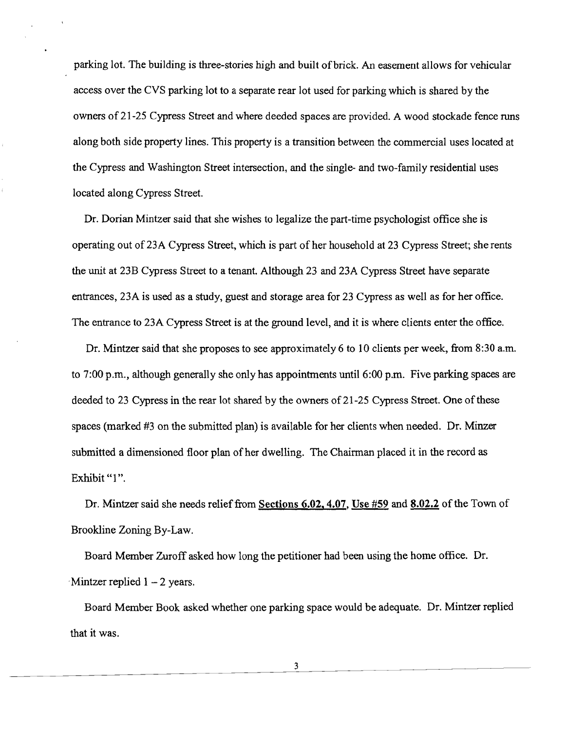parking lot. The building is three-stories high and built of brick. An easement allows for vehicular access over the CVS parking lot to a separate rear lot used for parking which is shared by the owners of 21-25 Cypress Street and where deeded spaces are provided. A wood stockade fence runs along both side property lines. This property is a transition between the commercial uses located at the Cypress and Washington Street intersection, and the single- and two-family residential uses located along Cypress Street.

Dr. Dorian Mintzer said that she wishes to legalize the part-time psychologist office she is operating out of 23A Cypress Street, which is part of her household at 23 Cypress Street; she rents the unit at 23B Cypress Street to a tenant. Although 23 and 23A Cypress Street have separate entrances, 23A is used as a study, guest and storage area for 23 Cypress as well as for her office. The entrance to 23A Cypress Street is at the ground level, and it is where clients enter the office.

Dr. Mintzer said that she proposes to see approximately 6 to 10 clients per week, from 8:30 a.m. to 7:00 p.m., although generally she only has appointments until 6:00 p.m. Five parking spaces are deeded to 23 Cypress in the rear lot shared by the owners of 21-25 Cypress Street. One of these spaces (marked #3 on the submitted plan) is available for her clients when needed. Dr. Minzer submitted a dimensioned floor plan of her dwelling. The Chairman placed it in the record as Exhibit "1".

Dr. Mintzer said she needs relief from Sections 6.02, 4.07, Use #59 and 8.02.2 of the Town of Brookline Zoning By-Law.

Board Member Zuroff asked how long the petitioner had been using the home office. Dr.  $\cdot$ Mintzer replied 1 – 2 years.

Board Member Book asked whether one parking space would be adequate. Dr. Mintzer replied that it was.

3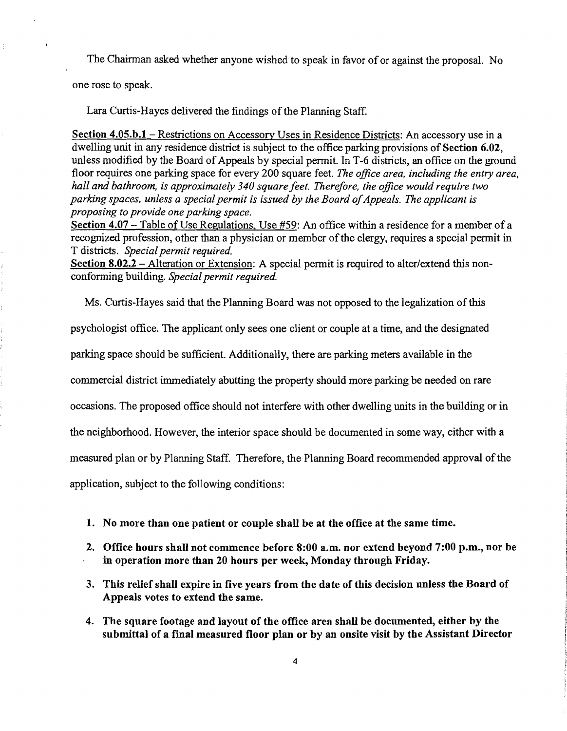The Chairman asked whether anyone wished to speak in favor of or against the proposal. No

one rose to speak.

Lara Curtis-Hayes delivered the findings of the Planning Staff.

Section 4.05.b.1 – Restrictions on Accessory Uses in Residence Districts: An accessory use in a dwelling unit in any residence district is subject to the office parking provisions of Section 6.02, unless modified by the Board of Appeals by special permit. In T-6 districts, an office on the ground floor requires one parking space for every 200 square feet. *The office area, including the entry area, hall and bathroom, is approximately 340 square feet. Therefore, the office would require two* parking spaces, unless a special permit is issued by the Board of Appeals. The applicant is *proposing to provide one parking space.* 

Section  $4.07$  - Table of Use Regulations, Use  $#59$ : An office within a residence for a member of a recognized profession, other than a physician or member of the clergy, requires a special permit in T districts. *Special permit required.* 

Section 8.02.2 - Alteration or Extension: A special permit is required to alter/extend this nonconforming building. *Special permit required.* 

Ms. Curtis-Hayes said that the Planning Board was not opposed to the legalization ofthis

psychologist office. The applicant only sees one client or couple at a time, and the designated

parking space should be sufficient. Additionally, there are parking meters available in the

commercial district immediately abutting the property should more parking be needed on rare

occasions. The proposed office should not interfere with other dwelling units in the building or in

the neighborhood. However, the interior space should be documented in some way, either with a

measured plan or by Planning Staff. Therefore, the Planning Board recommended approval of the

application, subject to the following conditions:

- 1. No more than one patient or couple shall be at the office at the same time.
- 2. Office hours shall not commence before 8:00 a.m. nor extend beyond 7:00 p.m., nor be in operation more than 20 hours per week, Monday through Friday.
- 3. This relief shall expire in five years from the date of this decision unless the Board of Appeals votes to extend the same.
- 4. The square footage and layout of the office area shall be documented, either by the submittal of a fmal measured floor plan or by an onsite visit by the Assistant Director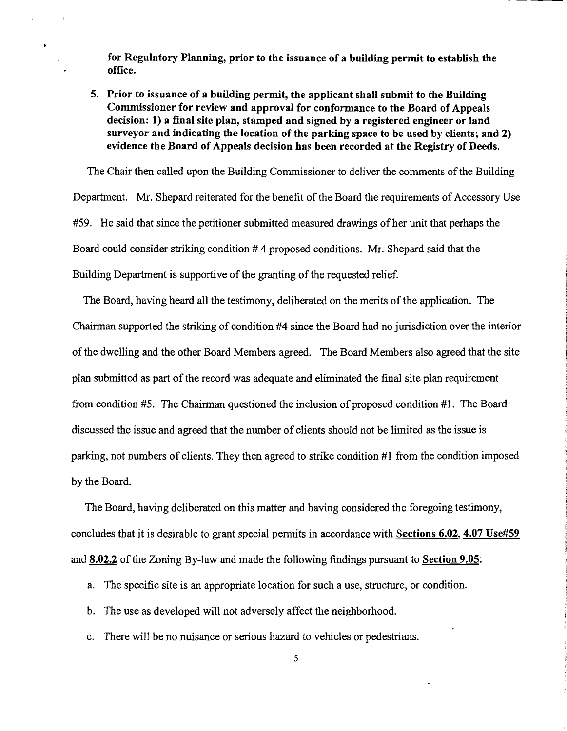for Regulatory Planning, prior to the issuance of a building permit to establish the office.

5. Prior to issuance of a building permit, the applicant shall submit to the Building Commissioner for review and approval for conformance to the Board of Appeals decision: 1) a fmal site plan, stamped and signed by a registered engineer or land surveyor and indicating the location of the parking space to be used by clients; and 2) evidence the Board of Appeals decision has been recorded at the Registry of Deeds.

The Chair then called upon the Building Commissioner to deliver the comments of the Building Department. Mr. Shepard reiterated for the benefit of the Board the requirements of Accessory Use #59. He said that since the petitioner submitted measured drawings of her unit that perhaps the Board could consider striking condition # 4 proposed conditions. Mr. Shepard said that the Building Department is supportive of the granting of the requested relief.

The Board, having heard all the testimony, deliberated on the merits of the application. The Chairman supported the striking of condition #4 since the Board had no jurisdiction over the interior ofthe dwelling and the other Board Members agreed. The Board Members also agreed that the site plan submitted as part of the record was adequate and eliminated the final site plan requirement from condition #5. The Chairman questioned the inclusion of proposed condition #1. The Board discussed the issue and agreed that the number of clients should not be limited as the issue is parking, not numbers of clients. They then agreed to strike condition #1 from the condition imposed by the Board.

The Board, having deliberated on this matter and having considered the foregoing testimony, concludes that it is desirable to grant special permits in accordance with Sections 6.02, 4.07 Use#59 and 8.02.2 of the Zoning By-law and made the following findings pursuant to Section 9.05:

- a. The specific site is an appropriate location for such a use, structure, or condition.
- b. The use as developed will not adversely affect the neighborhood.
- c. There will be no nuisance or serious hazard to vehicles or pedestrians.